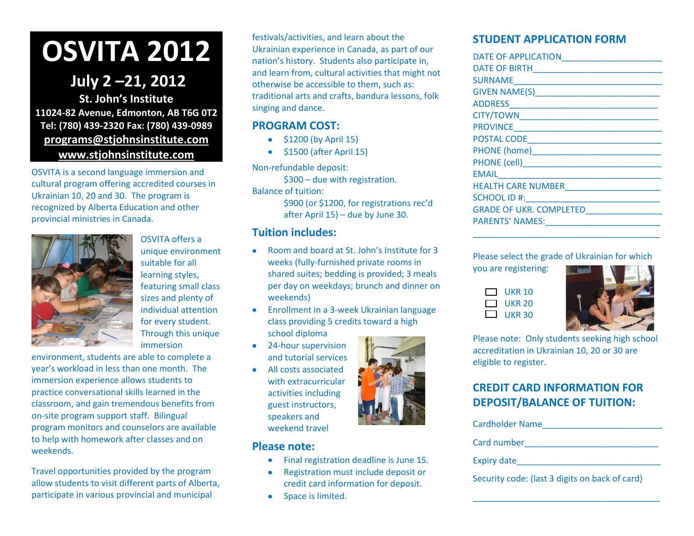## **OSVITA 2012**

## **July 2 –21, 2012**

**St. John's Institute 11024-82 Avenue, Edmonton, AB T6G 0T2 Tel: (780) 439-2320 Fax: (780) 439-0989 [programs@stjohnsinstitute.com](mailto:programs@stjohnsinstitute.com) [www.stjohnsinstitute.com](http://www.stjohnsinstitute.com/)**

OSVITA is a second language immersion and cultural program offering accredited courses in Ukrainian 10, 20 and 30. The program is recognized by Alberta Education and other provincial ministries in Canada.



OSVITA offers a unique environment suitable for all learning styles, featuring small class sizes and plenty of individual attention for every student. Through this unique immersion

environment, students are able to complete a year's workload in less than one month. The immersion experience allows students to practice conversational skills learned in the classroom, and gain tremendous benefits from on-site program support staff. Bilingual program monitors and counselors are available to help with homework after classes and on weekends.

Travel opportunities provided by the program allow students to visit different parts of Alberta, participate in various provincial and municipal

festivals/activities, and learn about the Ukrainian experience in Canada, as part of our nation's history. Students also participate in, and learn from, cultural activities that might not otherwise be accessible to them, such as: traditional arts and crafts, bandura lessons, folk singing and dance.

## **PROGRAM COST:**

- $\bullet$  \$1200 (by April 15)
- \$1500 (after April 15)

Non-refundable deposit:

\$300 – due with registration.

Balance of tuition:

\$900 (or \$1200, for registrations rec'd after April 15) – due by June 30.

## **Tuition includes:**

- Room and board at St. John's Institute for 3 weeks (fully-furnished private rooms in shared suites; bedding is provided; 3 meals per day on weekdays; brunch and dinner on weekends)
- Enrollment in a 3-week Ukrainian language  $\bullet$ class providing 5 credits toward a high school diploma
- 24-hour supervision and tutorial services
- All costs associated with extracurricular activities including guest instructors, speakers and weekend travel

## **Please note:**

- Final registration deadline is June 15.  $\bullet$
- Registration must include deposit or credit card information for deposit.
- Space is limited.  $\bullet$



| <b>DATE OF APPLICATION</b>                                                                                                                                                                                                           |
|--------------------------------------------------------------------------------------------------------------------------------------------------------------------------------------------------------------------------------------|
| <b>DATE OF BIRTH</b>                                                                                                                                                                                                                 |
| SURNAME                                                                                                                                                                                                                              |
| GIVEN NAME(S) <b>CONTAINS A REPORT OF A REPORT OF A REPORT OF A REPORT OF A REPORT OF A REPORT OF A REPORT OF A REPORT OF A REPORT OF A REPORT OF A REPORT OF A REPORT OF A REPORT OF A REPORT OF A REPORT OF A REPORT OF A REPO</b> |
|                                                                                                                                                                                                                                      |
| CITY/TOWN EXECUTIVE THE RESERVE THE RESERVE THAT THE RESERVE THE RESERVE THAT THE RESERVE THAT THE RESERVE THAT THE RESERVE THAT THE RESERVE THAT THE RESERVE THAT THE RESERVE THAT THE RESERVE THAT THE RESERVE THAT THE RESE       |
| PROVINCE <b>Andrew PROVINCE</b>                                                                                                                                                                                                      |
| POSTAL CODE                                                                                                                                                                                                                          |
| PHONE (home) <b>Example 20</b>                                                                                                                                                                                                       |
| <b>PHONE (cell) Example 2016</b>                                                                                                                                                                                                     |
| EMAIL                                                                                                                                                                                                                                |
| <b>HEALTH CARE NUMBER</b>                                                                                                                                                                                                            |
| SCHOOL ID #:                                                                                                                                                                                                                         |
| <b>GRADE OF UKR. COMPLETED</b>                                                                                                                                                                                                       |
| <b>PARENTS' NAMES:</b>                                                                                                                                                                                                               |
|                                                                                                                                                                                                                                      |

### Please select the grade of Ukrainian for which

\_\_\_\_\_\_\_\_\_\_\_\_\_\_\_\_\_\_\_\_\_\_\_\_\_\_\_\_\_\_\_\_\_\_\_\_\_\_\_

you are registering:

| $\mathbf{1}$ | UKR 10        |
|--------------|---------------|
| $\mathbf{1}$ | UKR 20        |
| Г. 1         | <b>UKR 30</b> |



Please note: Only students seeking high school accreditation in Ukrainian 10, 20 or 30 are eligible to register.

## **CREDIT CARD INFORMATION FOR DEPOSIT/BALANCE OF TUITION:**

| Cardholder Name                                |
|------------------------------------------------|
| Card number                                    |
| <b>Expiry date</b>                             |
| Security code: (last 3 digits on back of card) |

\_\_\_\_\_\_\_\_\_\_\_\_\_\_\_\_\_\_\_\_\_\_\_\_\_\_\_\_\_\_\_\_\_\_\_\_\_\_\_